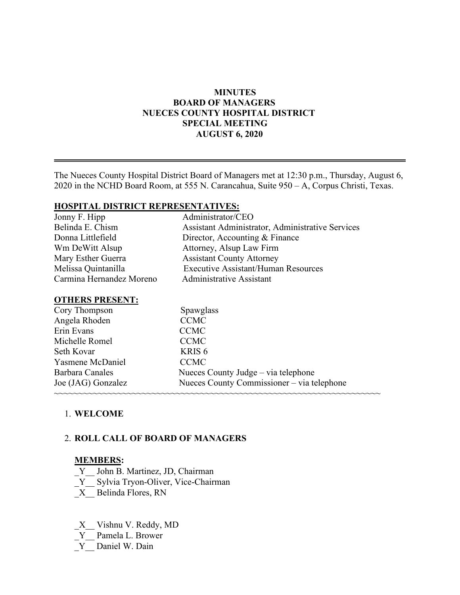## **MINUTES BOARD OF MANAGERS NUECES COUNTY HOSPITAL DISTRICT SPECIAL MEETING AUGUST 6, 2020**

The Nueces County Hospital District Board of Managers met at 12:30 p.m., Thursday, August 6, 2020 in the NCHD Board Room, at 555 N. Carancahua, Suite 950 – A, Corpus Christi, Texas.

## **HOSPITAL DISTRICT REPRESENTATIVES:**

| Jonny F. Hipp            | Administrator/CEO                                |
|--------------------------|--------------------------------------------------|
| Belinda E. Chism         | Assistant Administrator, Administrative Services |
| Donna Littlefield        | Director, Accounting & Finance                   |
| Wm DeWitt Alsup          | Attorney, Alsup Law Firm                         |
| Mary Esther Guerra       | <b>Assistant County Attorney</b>                 |
| Melissa Quintanilla      | <b>Executive Assistant/Human Resources</b>       |
| Carmina Hernandez Moreno | <b>Administrative Assistant</b>                  |
|                          |                                                  |

#### **OTHERS PRESENT:**

| Cory Thompson      | Spawglass                                  |  |
|--------------------|--------------------------------------------|--|
| Angela Rhoden      | <b>CCMC</b>                                |  |
| Erin Evans         | <b>CCMC</b>                                |  |
| Michelle Romel     | <b>CCMC</b>                                |  |
| Seth Kovar         | KRIS <sub>6</sub>                          |  |
| Yasmene McDaniel   | <b>CCMC</b>                                |  |
| Barbara Canales    | Nueces County Judge - via telephone        |  |
| Joe (JAG) Gonzalez | Nueces County Commissioner - via telephone |  |
|                    |                                            |  |

## 1. **WELCOME**

## 2. **ROLL CALL OF BOARD OF MANAGERS**

#### **MEMBERS:**

- Y John B. Martinez, JD, Chairman
- \_Y\_\_ Sylvia Tryon-Oliver, Vice-Chairman
- \_X\_\_ Belinda Flores, RN
- \_X\_\_ Vishnu V. Reddy, MD
- \_Y\_\_ Pamela L. Brower
- Y Daniel W. Dain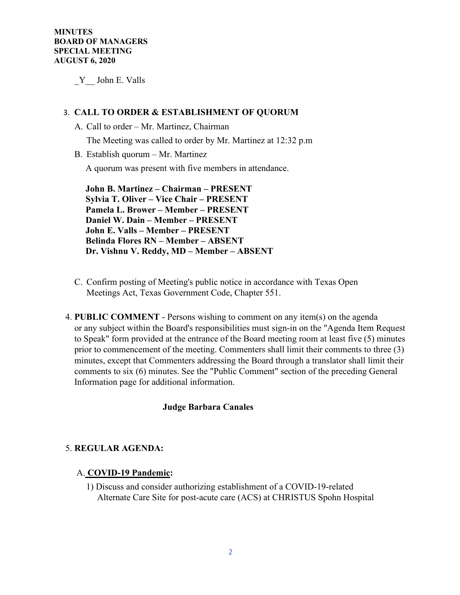\_Y\_\_ John E. Valls

## 3. **CALL TO ORDER & ESTABLISHMENT OF QUORUM**

A. Call to order – Mr. Martinez, Chairman

The Meeting was called to order by Mr. Martinez at 12:32 p.m

B. Establish quorum – Mr. Martinez

A quorum was present with five members in attendance.

 **John B. Martinez – Chairman – PRESENT Sylvia T. Oliver – Vice Chair – PRESENT Pamela L. Brower – Member – PRESENT Daniel W. Dain – Member – PRESENT John E. Valls – Member – PRESENT Belinda Flores RN – Member – ABSENT Dr. Vishnu V. Reddy, MD – Member – ABSENT** 

- C. Confirm posting of Meeting's public notice in accordance with Texas Open Meetings Act, Texas Government Code, Chapter 551.
- 4. **PUBLIC COMMENT** Persons wishing to comment on any item(s) on the agenda or any subject within the Board's responsibilities must sign-in on the "Agenda Item Request to Speak" form provided at the entrance of the Board meeting room at least five (5) minutes prior to commencement of the meeting. Commenters shall limit their comments to three (3) minutes, except that Commenters addressing the Board through a translator shall limit their comments to six (6) minutes. See the "Public Comment" section of the preceding General Information page for additional information.

## **Judge Barbara Canales**

#### 5. **REGULAR AGENDA:**

#### A. **COVID-19 Pandemic:**

1) Discuss and consider authorizing establishment of a COVID-19-related Alternate Care Site for post-acute care (ACS) at CHRISTUS Spohn Hospital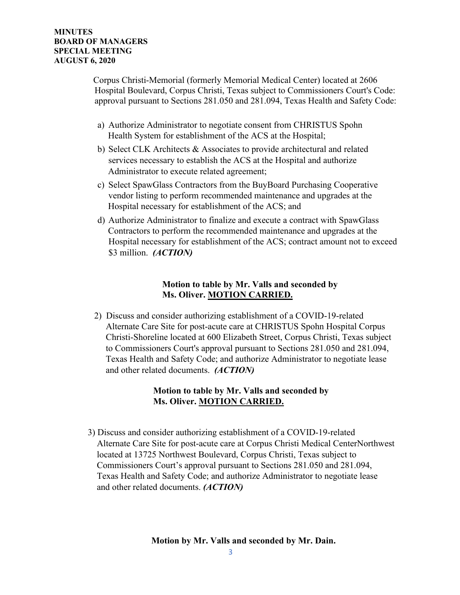Corpus Christi-Memorial (formerly Memorial Medical Center) located at 2606 Hospital Boulevard, Corpus Christi, Texas subject to Commissioners Court's Code: approval pursuant to Sections 281.050 and 281.094, Texas Health and Safety Code:

- a) Authorize Administrator to negotiate consent from CHRISTUS Spohn Health System for establishment of the ACS at the Hospital;
- b) Select CLK Architects & Associates to provide architectural and related services necessary to establish the ACS at the Hospital and authorize Administrator to execute related agreement;
- c) Select SpawGlass Contractors from the BuyBoard Purchasing Cooperative vendor listing to perform recommended maintenance and upgrades at the Hospital necessary for establishment of the ACS; and
- d) Authorize Administrator to finalize and execute a contract with SpawGlass Contractors to perform the recommended maintenance and upgrades at the Hospital necessary for establishment of the ACS; contract amount not to exceed \$3 million. *(ACTION)*

# **Motion to table by Mr. Valls and seconded by Ms. Oliver. MOTION CARRIED.**

 2) Discuss and consider authorizing establishment of a COVID-19-related Alternate Care Site for post-acute care at CHRISTUS Spohn Hospital Corpus Christi-Shoreline located at 600 Elizabeth Street, Corpus Christi, Texas subject to Commissioners Court's approval pursuant to Sections 281.050 and 281.094, Texas Health and Safety Code; and authorize Administrator to negotiate lease and other related documents. *(ACTION)*

# **Motion to table by Mr. Valls and seconded by Ms. Oliver. MOTION CARRIED.**

 3) Discuss and consider authorizing establishment of a COVID-19-related Alternate Care Site for post-acute care at Corpus Christi Medical CenterNorthwest located at 13725 Northwest Boulevard, Corpus Christi, Texas subject to Commissioners Court's approval pursuant to Sections 281.050 and 281.094, Texas Health and Safety Code; and authorize Administrator to negotiate lease and other related documents. *(ACTION)*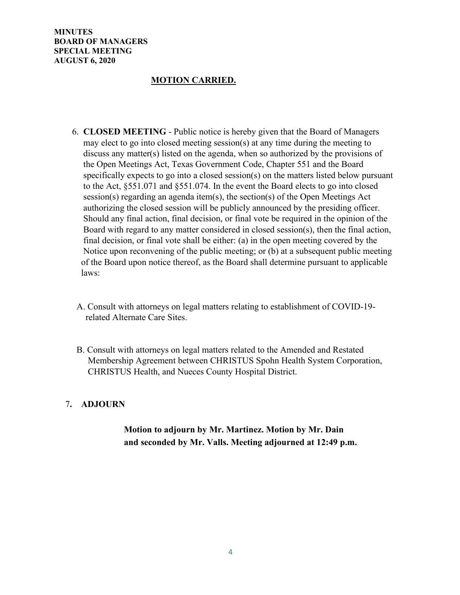**MINUTES BOARD OF MANAGERS SPECIAL MEETING AUGUST 6, 2020** 

## **MOTION CARRIED.**

- 6. **CLOSED MEETING** Public notice is hereby given that the Board of Managers may elect to go into closed meeting session(s) at any time during the meeting to discuss any matter(s) listed on the agenda, when so authorized by the provisions of the Open Meetings Act, Texas Government Code, Chapter 551 and the Board specifically expects to go into a closed session(s) on the matters listed below pursuant to the Act, §551.071 and §551.074. In the event the Board elects to go into closed session(s) regarding an agenda item(s), the section(s) of the Open Meetings Act authorizing the closed session will be publicly announced by the presiding officer. Should any final action, final decision, or final vote be required in the opinion of the Board with regard to any matter considered in closed session(s), then the final action, final decision, or final vote shall be either: (a) in the open meeting covered by the Notice upon reconvening of the public meeting; or (b) at a subsequent public meeting of the Board upon notice thereof, as the Board shall determine pursuant to applicable laws:
- A. Consult with attorneys on legal matters relating to establishment of COVID-19 related Alternate Care Sites.
- B. Consult with attorneys on legal matters related to the Amended and Restated Membership Agreement between CHRISTUS Spohn Health System Corporation, CHRISTUS Health, and Nueces County Hospital District.

## 7**. ADJOURN**

# **Motion to adjourn by Mr. Martinez. Motion by Mr. Dain and seconded by Mr. Valls. Meeting adjourned at 12:49 p.m.**